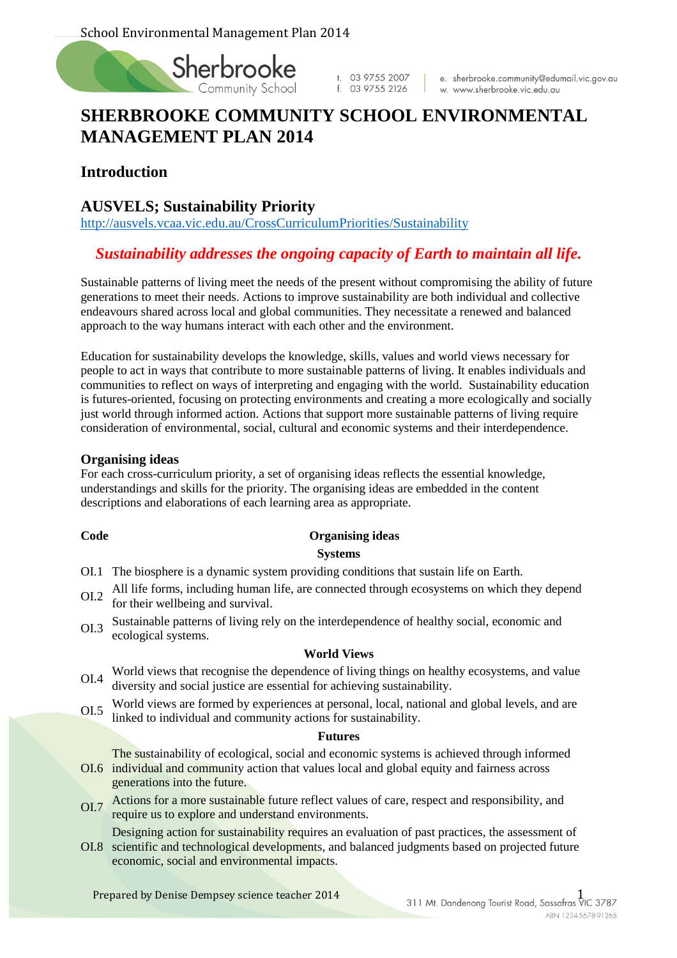

t. 03 9755 2007 f. 03 9755 2126

e. sherbrooke.community@edumail.vic.gov.au w. www.sherbrooke.vic.edu.au

# **SHERBROOKE COMMUNITY SCHOOL ENVIRONMENTAL MANAGEMENT PLAN 2014**

# **Introduction**

# **AUSVELS; Sustainability Priority**

<http://ausvels.vcaa.vic.edu.au/CrossCurriculumPriorities/Sustainability>

# *Sustainability addresses the ongoing capacity of Earth to maintain all life.*

Sustainable patterns of living meet the needs of the present without compromising the ability of future generations to meet their needs. Actions to improve sustainability are both individual and collective endeavours shared across local and global communities. They necessitate a renewed and balanced approach to the way humans interact with each other and the environment.

Education for sustainability develops the knowledge, skills, values and world views necessary for people to act in ways that contribute to more sustainable patterns of living. It enables individuals and communities to reflect on ways of interpreting and engaging with the world. Sustainability education is futures-oriented, focusing on protecting environments and creating a more ecologically and socially just world through informed action. Actions that support more sustainable patterns of living require consideration of environmental, social, cultural and economic systems and their interdependence.

#### **Organising ideas**

For each cross-curriculum priority, a set of organising ideas reflects the essential knowledge, understandings and skills for the priority. The organising ideas are embedded in the content descriptions and elaborations of each learning area as appropriate.

#### **Code Organising ideas Systems**

- OI.1 The biosphere is a dynamic system providing conditions that sustain life on Earth.
- OI.2 All life forms, including human life, are connected through ecosystems on which they depend for their wellbeing and survival.
- OI.3 Sustainable patterns of living rely on the interdependence of healthy social, economic and ecological systems.

#### **World Views**

- OI.4 World views that recognise the dependence of living things on healthy ecosystems, and value diversity and social justice are essential for achieving sustainability.
- OI.5 World views are formed by experiences at personal, local, national and global levels, and are linked to individual and community actions for sustainability.

#### **Futures**

OI.6 individual and community action that values local and global equity and fairness across The sustainability of ecological, social and economic systems is achieved through informed generations into the future.

- OI.7 Actions for a more sustainable future reflect values of care, respect and responsibility, and require us to explore and understand environments.
- OI.8 scientific and technological developments, and balanced judgments based on projected future Designing action for sustainability requires an evaluation of past practices, the assessment of economic, social and environmental impacts.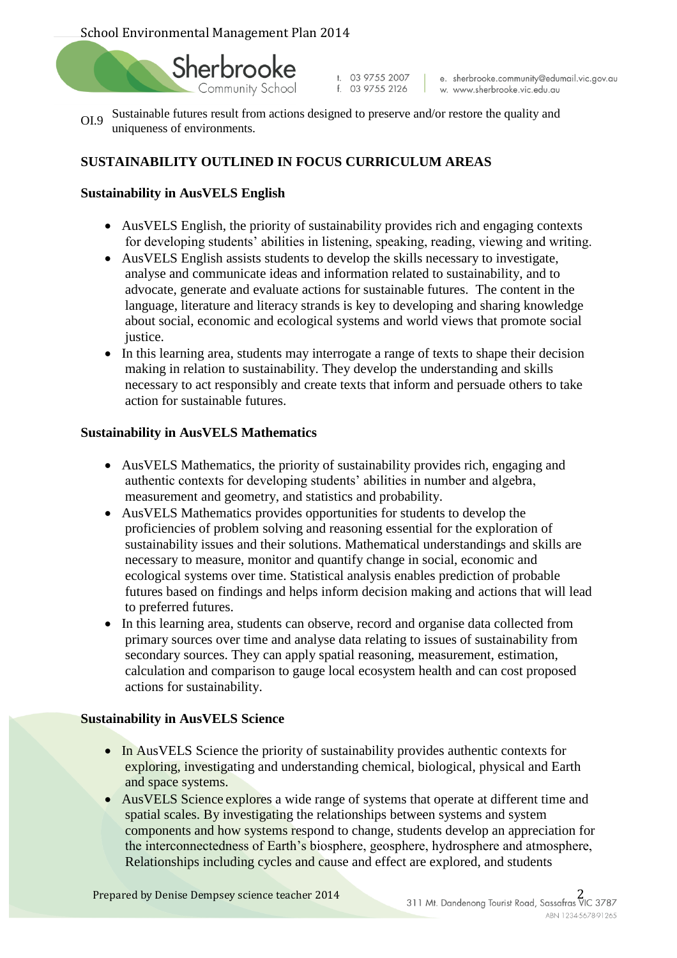

t. 03 9755 2007<br>f. 03 9755 2126

e. sherbrooke.community@edumail.vic.gov.au w. www.sherbrooke.vic.edu.au

OI.9 Sustainable futures result from actions designed to preserve and/or restore the quality and uniqueness of environments.

# **SUSTAINABILITY OUTLINED IN FOCUS CURRICULUM AREAS**

### **Sustainability in AusVELS English**

- AusVELS English, the priority of sustainability provides rich and engaging contexts for developing students' abilities in listening, speaking, reading, viewing and writing.
- AusVELS English assists students to develop the skills necessary to investigate, analyse and communicate ideas and information related to sustainability, and to advocate, generate and evaluate actions for sustainable futures. The content in the language, literature and literacy strands is key to developing and sharing knowledge about social, economic and ecological systems and world views that promote social justice.
- In this learning area, students may interrogate a range of texts to shape their decision making in relation to sustainability. They develop the understanding and skills necessary to act responsibly and create texts that inform and persuade others to take action for sustainable futures.

#### **Sustainability in AusVELS Mathematics**

- AusVELS Mathematics, the priority of sustainability provides rich, engaging and authentic contexts for developing students' abilities in number and algebra, measurement and geometry, and statistics and probability.
- AusVELS Mathematics provides opportunities for students to develop the proficiencies of problem solving and reasoning essential for the exploration of sustainability issues and their solutions. Mathematical understandings and skills are necessary to measure, monitor and quantify change in social, economic and ecological systems over time. Statistical analysis enables prediction of probable futures based on findings and helps inform decision making and actions that will lead to preferred futures.
- In this learning area, students can observe, record and organise data collected from primary sources over time and analyse data relating to issues of sustainability from secondary sources. They can apply spatial reasoning, measurement, estimation, calculation and comparison to gauge local ecosystem health and can cost proposed actions for sustainability.

#### **Sustainability in AusVELS Science**

- In AusVELS Science the priority of sustainability provides authentic contexts for exploring, investigating and understanding chemical, biological, physical and Earth and space systems.
- AusVELS Science explores a wide range of systems that operate at different time and spatial scales. By investigating the relationships between systems and system components and how systems respond to change, students develop an appreciation for the interconnectedness of Earth's biosphere, geosphere, hydrosphere and atmosphere, Relationships including cycles and cause and effect are explored, and students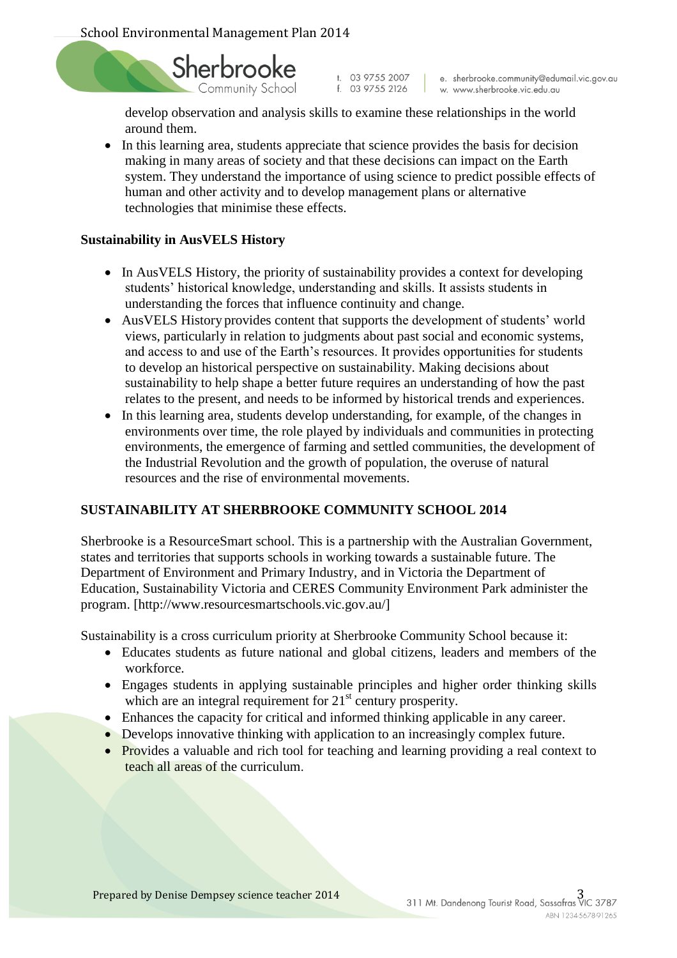

t. 03 9755 2007<br>f. 03 9755 2126

e. sherbrooke.community@edumail.vic.gov.au w. www.sherbrooke.vic.edu.au

develop observation and analysis skills to examine these relationships in the world around them.

• In this learning area, students appreciate that science provides the basis for decision making in many areas of society and that these decisions can impact on the Earth system. They understand the importance of using science to predict possible effects of human and other activity and to develop management plans or alternative technologies that minimise these effects.

#### **Sustainability in AusVELS History**

- In AusVELS History, the priority of sustainability provides a context for developing students' historical knowledge, understanding and skills. It assists students in understanding the forces that influence continuity and change.
- AusVELS History provides content that supports the development of students' world views, particularly in relation to judgments about past social and economic systems, and access to and use of the Earth's resources. It provides opportunities for students to develop an historical perspective on sustainability. Making decisions about sustainability to help shape a better future requires an understanding of how the past relates to the present, and needs to be informed by historical trends and experiences.
- In this learning area, students develop understanding, for example, of the changes in environments over time, the role played by individuals and communities in protecting environments, the emergence of farming and settled communities, the development of the Industrial Revolution and the growth of population, the overuse of natural resources and the rise of environmental movements.

#### **SUSTAINABILITY AT SHERBROOKE COMMUNITY SCHOOL 2014**

Sherbrooke is a ResourceSmart school. This is a partnership with the Australian Government, states and territories that supports schools in working towards a sustainable future. The Department of Environment and Primary Industry, and in Victoria the Department of Education, Sustainability Victoria and CERES Community Environment Park administer the program. [http://www.resourcesmartschools.vic.gov.au/]

Sustainability is a cross curriculum priority at Sherbrooke Community School because it:

- Educates students as future national and global citizens, leaders and members of the workforce.
- Engages students in applying sustainable principles and higher order thinking skills which are an integral requirement for  $21<sup>st</sup>$  century prosperity.
- Enhances the capacity for critical and informed thinking applicable in any career.
- Develops innovative thinking with application to an increasingly complex future.
- Provides a valuable and rich tool for teaching and learning providing a real context to teach all areas of the curriculum.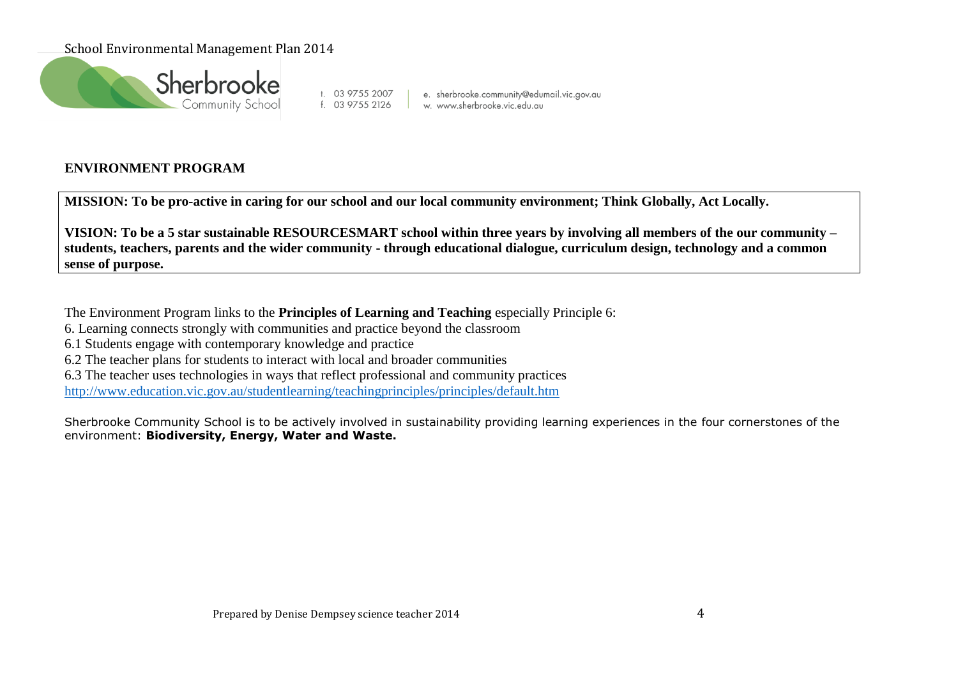

t. 03 9755 2007 | e. sherbrooke.community@edun<br>f. 03 9755 2126 | w. www.sherbrooke.vic.edu.au e. sherbrooke.community@edumail.vic.gov.au

# **ENVIRONMENT PROGRAM**

**MISSION: To be pro-active in caring for our school and our local community environment; Think Globally, Act Locally.**

**VISION: To be a 5 star sustainable RESOURCESMART school within three years by involving all members of the our community – students, teachers, parents and the wider community - through educational dialogue, curriculum design, technology and a common sense of purpose.** 

The Environment Program links to the **Principles of Learning and Teaching** especially Principle 6:

6. Learning connects strongly with communities and practice beyond the classroom

6.1 Students engage with contemporary knowledge and practice

6.2 The teacher plans for students to interact with local and broader communities

6.3 The teacher uses technologies in ways that reflect professional and community practices

<http://www.education.vic.gov.au/studentlearning/teachingprinciples/principles/default.htm>

Sherbrooke Community School is to be actively involved in sustainability providing learning experiences in the four cornerstones of the environment: **Biodiversity, Energy, Water and Waste.**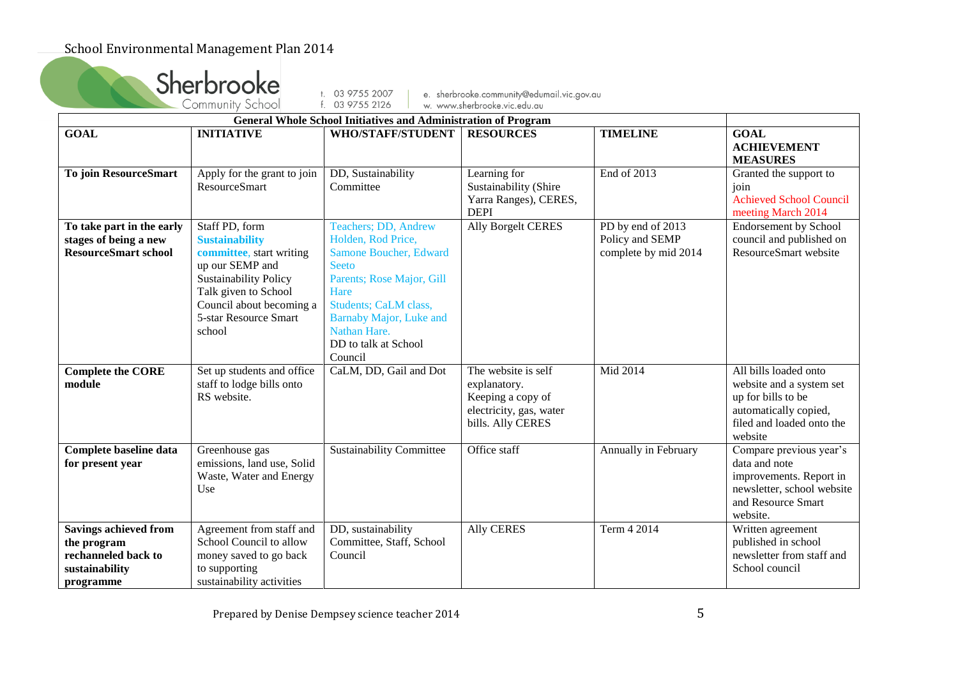|                                                                                                   | Sherbrooke<br>Community School                                                                                                                                                                                | t. 03 9755 2007                                                                                                                                                                                                                                 | e. sherbrooke.community@edumail.vic.gov.au                                                               |                                                              |                                                                                                                                          |
|---------------------------------------------------------------------------------------------------|---------------------------------------------------------------------------------------------------------------------------------------------------------------------------------------------------------------|-------------------------------------------------------------------------------------------------------------------------------------------------------------------------------------------------------------------------------------------------|----------------------------------------------------------------------------------------------------------|--------------------------------------------------------------|------------------------------------------------------------------------------------------------------------------------------------------|
|                                                                                                   |                                                                                                                                                                                                               |                                                                                                                                                                                                                                                 |                                                                                                          |                                                              |                                                                                                                                          |
| <b>GOAL</b>                                                                                       | <b>INITIATIVE</b>                                                                                                                                                                                             | <b>General Whole School Initiatives and Administration of Program</b><br><b>WHO/STAFF/STUDENT</b>                                                                                                                                               | <b>RESOURCES</b>                                                                                         | <b>TIMELINE</b>                                              | <b>GOAL</b><br><b>ACHIEVEMENT</b><br><b>MEASURES</b>                                                                                     |
| <b>To join ResourceSmart</b>                                                                      | Apply for the grant to join<br><b>ResourceSmart</b>                                                                                                                                                           | DD, Sustainability<br>Committee                                                                                                                                                                                                                 | Learning for<br>Sustainability (Shire<br>Yarra Ranges), CERES,<br><b>DEPI</b>                            | End of 2013                                                  | Granted the support to<br>join<br><b>Achieved School Council</b><br>meeting March 2014                                                   |
| To take part in the early<br>stages of being a new<br><b>ResourceSmart school</b>                 | Staff PD, form<br><b>Sustainability</b><br>committee, start writing<br>up our SEMP and<br><b>Sustainability Policy</b><br>Talk given to School<br>Council about becoming a<br>5-star Resource Smart<br>school | Teachers; DD, Andrew<br>Holden, Rod Price,<br>Samone Boucher, Edward<br><b>Seeto</b><br>Parents; Rose Major, Gill<br>Hare<br><b>Students</b> ; CaLM class,<br><b>Barnaby Major, Luke and</b><br>Nathan Hare.<br>DD to talk at School<br>Council | <b>Ally Borgelt CERES</b>                                                                                | PD by end of 2013<br>Policy and SEMP<br>complete by mid 2014 | <b>Endorsement by School</b><br>council and published on<br>ResourceSmart website                                                        |
| <b>Complete the CORE</b><br>module                                                                | Set up students and office<br>staff to lodge bills onto<br>RS website.                                                                                                                                        | CaLM, DD, Gail and Dot                                                                                                                                                                                                                          | The website is self<br>explanatory.<br>Keeping a copy of<br>electricity, gas, water<br>bills. Ally CERES | Mid 2014                                                     | All bills loaded onto<br>website and a system set<br>up for bills to be<br>automatically copied,<br>filed and loaded onto the<br>website |
| Complete baseline data<br>for present year                                                        | Greenhouse gas<br>emissions, land use, Solid<br>Waste, Water and Energy<br>Use                                                                                                                                | <b>Sustainability Committee</b>                                                                                                                                                                                                                 | Office staff                                                                                             | Annually in February                                         | Compare previous year's<br>data and note<br>improvements. Report in<br>newsletter, school website<br>and Resource Smart<br>website.      |
| <b>Savings achieved from</b><br>the program<br>rechanneled back to<br>sustainability<br>programme | Agreement from staff and<br>School Council to allow<br>money saved to go back<br>to supporting<br>sustainability activities                                                                                   | DD, sustainability<br>Committee, Staff, School<br>Council                                                                                                                                                                                       | <b>Ally CERES</b>                                                                                        | Term 4 2014                                                  | Written agreement<br>published in school<br>newsletter from staff and<br>School council                                                  |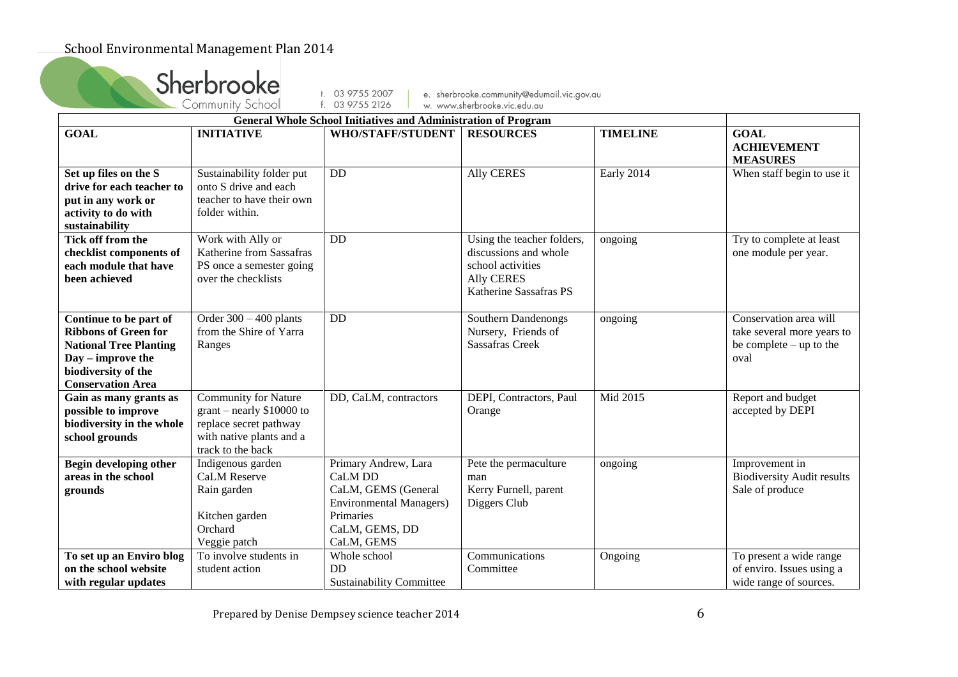|                                                                                                                                                                | Sherbrooke<br>Community School                                                                                                       | t. 03 9755 2007                                                                                                                       | e. sherbrooke.community@edumail.vic.gov.au                                                                              |                 |                                                                                                 |
|----------------------------------------------------------------------------------------------------------------------------------------------------------------|--------------------------------------------------------------------------------------------------------------------------------------|---------------------------------------------------------------------------------------------------------------------------------------|-------------------------------------------------------------------------------------------------------------------------|-----------------|-------------------------------------------------------------------------------------------------|
|                                                                                                                                                                |                                                                                                                                      |                                                                                                                                       |                                                                                                                         |                 |                                                                                                 |
|                                                                                                                                                                |                                                                                                                                      |                                                                                                                                       |                                                                                                                         |                 |                                                                                                 |
| <b>GOAL</b>                                                                                                                                                    | <b>INITIATIVE</b>                                                                                                                    | <b>WHO/STAFF/STUDENT</b>                                                                                                              | <b>RESOURCES</b>                                                                                                        | <b>TIMELINE</b> | <b>GOAL</b><br><b>ACHIEVEMENT</b><br><b>MEASURES</b>                                            |
| Set up files on the S<br>drive for each teacher to<br>put in any work or<br>activity to do with<br>sustainability                                              | Sustainability folder put<br>onto S drive and each<br>teacher to have their own<br>folder within.                                    | DD                                                                                                                                    | <b>Ally CERES</b>                                                                                                       | Early 2014      | When staff begin to use it                                                                      |
| Tick off from the<br>checklist components of<br>each module that have<br>been achieved                                                                         | Work with Ally or<br>Katherine from Sassafras<br>PS once a semester going<br>over the checklists                                     | $\overline{DD}$                                                                                                                       | Using the teacher folders,<br>discussions and whole<br>school activities<br><b>Ally CERES</b><br>Katherine Sassafras PS | ongoing         | Try to complete at least<br>one module per year.                                                |
| Continue to be part of<br><b>Ribbons of Green for</b><br><b>National Tree Planting</b><br>Day – improve the<br>biodiversity of the<br><b>Conservation Area</b> | Order $300 - 400$ plants<br>from the Shire of Yarra<br>Ranges                                                                        | DD                                                                                                                                    | Southern Dandenongs<br>Nursery, Friends of<br><b>Sassafras Creek</b>                                                    | ongoing         | Conservation area will<br>take several more years to<br>be complete $-\text{up}$ to the<br>oval |
| Gain as many grants as<br>possible to improve<br>biodiversity in the whole<br>school grounds                                                                   | <b>Community for Nature</b><br>$grant - nearly $10000 to$<br>replace secret pathway<br>with native plants and a<br>track to the back | DD, CaLM, contractors                                                                                                                 | DEPI, Contractors, Paul<br>Orange                                                                                       | Mid 2015        | Report and budget<br>accepted by DEPI                                                           |
| Begin developing other<br>areas in the school<br>grounds                                                                                                       | Indigenous garden<br><b>CaLM</b> Reserve<br>Rain garden<br>Kitchen garden<br>Orchard<br>Veggie patch                                 | Primary Andrew, Lara<br>CaLM DD<br>CaLM, GEMS (General<br><b>Environmental Managers)</b><br>Primaries<br>CaLM, GEMS, DD<br>CaLM, GEMS | Pete the permaculture<br>man<br>Kerry Furnell, parent<br>Diggers Club                                                   | ongoing         | Improvement in<br><b>Biodiversity Audit results</b><br>Sale of produce                          |
| To set up an Enviro blog<br>on the school website<br>with regular updates                                                                                      | To involve students in<br>student action                                                                                             | Whole school<br>DD<br><b>Sustainability Committee</b>                                                                                 | Communications<br>Committee                                                                                             | Ongoing         | To present a wide range<br>of enviro. Issues using a<br>wide range of sources.                  |